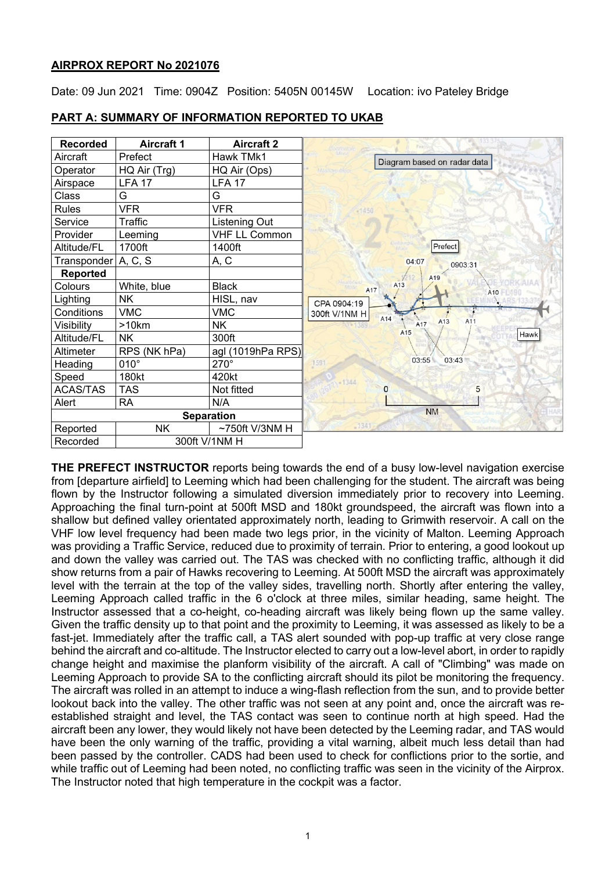# **AIRPROX REPORT No 2021076**

Date: 09 Jun 2021 Time: 0904Z Position: 5405N 00145W Location: ivo Pateley Bridge



### **PART A: SUMMARY OF INFORMATION REPORTED TO UKAB**

**THE PREFECT INSTRUCTOR** reports being towards the end of a busy low-level navigation exercise from [departure airfield] to Leeming which had been challenging for the student. The aircraft was being flown by the Instructor following a simulated diversion immediately prior to recovery into Leeming. Approaching the final turn-point at 500ft MSD and 180kt groundspeed, the aircraft was flown into a shallow but defined valley orientated approximately north, leading to Grimwith reservoir. A call on the VHF low level frequency had been made two legs prior, in the vicinity of Malton. Leeming Approach was providing a Traffic Service, reduced due to proximity of terrain. Prior to entering, a good lookout up and down the valley was carried out. The TAS was checked with no conflicting traffic, although it did show returns from a pair of Hawks recovering to Leeming. At 500ft MSD the aircraft was approximately level with the terrain at the top of the valley sides, travelling north. Shortly after entering the valley, Leeming Approach called traffic in the 6 o'clock at three miles, similar heading, same height. The Instructor assessed that a co-height, co-heading aircraft was likely being flown up the same valley. Given the traffic density up to that point and the proximity to Leeming, it was assessed as likely to be a fast-jet. Immediately after the traffic call, a TAS alert sounded with pop-up traffic at very close range behind the aircraft and co-altitude. The Instructor elected to carry out a low-level abort, in order to rapidly change height and maximise the planform visibility of the aircraft. A call of "Climbing" was made on Leeming Approach to provide SA to the conflicting aircraft should its pilot be monitoring the frequency. The aircraft was rolled in an attempt to induce a wing-flash reflection from the sun, and to provide better lookout back into the valley. The other traffic was not seen at any point and, once the aircraft was reestablished straight and level, the TAS contact was seen to continue north at high speed. Had the aircraft been any lower, they would likely not have been detected by the Leeming radar, and TAS would have been the only warning of the traffic, providing a vital warning, albeit much less detail than had been passed by the controller. CADS had been used to check for conflictions prior to the sortie, and while traffic out of Leeming had been noted, no conflicting traffic was seen in the vicinity of the Airprox. The Instructor noted that high temperature in the cockpit was a factor.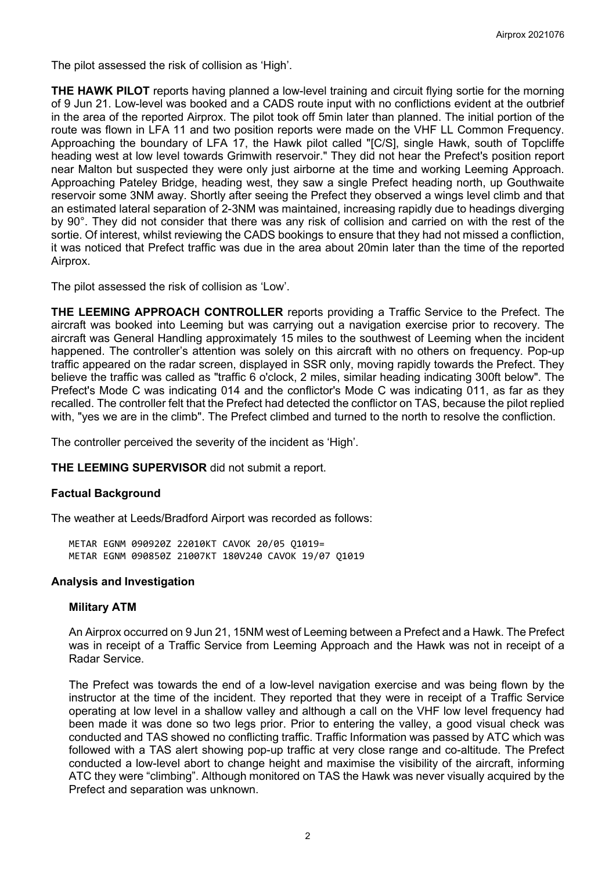The pilot assessed the risk of collision as 'High'.

**THE HAWK PILOT** reports having planned a low-level training and circuit flying sortie for the morning of 9 Jun 21. Low-level was booked and a CADS route input with no conflictions evident at the outbrief in the area of the reported Airprox. The pilot took off 5min later than planned. The initial portion of the route was flown in LFA 11 and two position reports were made on the VHF LL Common Frequency. Approaching the boundary of LFA 17, the Hawk pilot called "[C/S], single Hawk, south of Topcliffe heading west at low level towards Grimwith reservoir." They did not hear the Prefect's position report near Malton but suspected they were only just airborne at the time and working Leeming Approach. Approaching Pateley Bridge, heading west, they saw a single Prefect heading north, up Gouthwaite reservoir some 3NM away. Shortly after seeing the Prefect they observed a wings level climb and that an estimated lateral separation of 2-3NM was maintained, increasing rapidly due to headings diverging by 90°. They did not consider that there was any risk of collision and carried on with the rest of the sortie. Of interest, whilst reviewing the CADS bookings to ensure that they had not missed a confliction, it was noticed that Prefect traffic was due in the area about 20min later than the time of the reported Airprox.

The pilot assessed the risk of collision as 'Low'.

**THE LEEMING APPROACH CONTROLLER** reports providing a Traffic Service to the Prefect. The aircraft was booked into Leeming but was carrying out a navigation exercise prior to recovery. The aircraft was General Handling approximately 15 miles to the southwest of Leeming when the incident happened. The controller's attention was solely on this aircraft with no others on frequency. Pop-up traffic appeared on the radar screen, displayed in SSR only, moving rapidly towards the Prefect. They believe the traffic was called as "traffic 6 o'clock, 2 miles, similar heading indicating 300ft below". The Prefect's Mode C was indicating 014 and the conflictor's Mode C was indicating 011, as far as they recalled. The controller felt that the Prefect had detected the conflictor on TAS, because the pilot replied with, "yes we are in the climb". The Prefect climbed and turned to the north to resolve the confliction.

The controller perceived the severity of the incident as 'High'.

**THE LEEMING SUPERVISOR** did not submit a report.

# **Factual Background**

The weather at Leeds/Bradford Airport was recorded as follows:

METAR EGNM 090920Z 22010KT CAVOK 20/05 Q1019= METAR EGNM 090850Z 21007KT 180V240 CAVOK 19/07 Q1019

#### **Analysis and Investigation**

#### **Military ATM**

An Airprox occurred on 9 Jun 21, 15NM west of Leeming between a Prefect and a Hawk. The Prefect was in receipt of a Traffic Service from Leeming Approach and the Hawk was not in receipt of a Radar Service.

The Prefect was towards the end of a low-level navigation exercise and was being flown by the instructor at the time of the incident. They reported that they were in receipt of a Traffic Service operating at low level in a shallow valley and although a call on the VHF low level frequency had been made it was done so two legs prior. Prior to entering the valley, a good visual check was conducted and TAS showed no conflicting traffic. Traffic Information was passed by ATC which was followed with a TAS alert showing pop-up traffic at very close range and co-altitude. The Prefect conducted a low-level abort to change height and maximise the visibility of the aircraft, informing ATC they were "climbing". Although monitored on TAS the Hawk was never visually acquired by the Prefect and separation was unknown.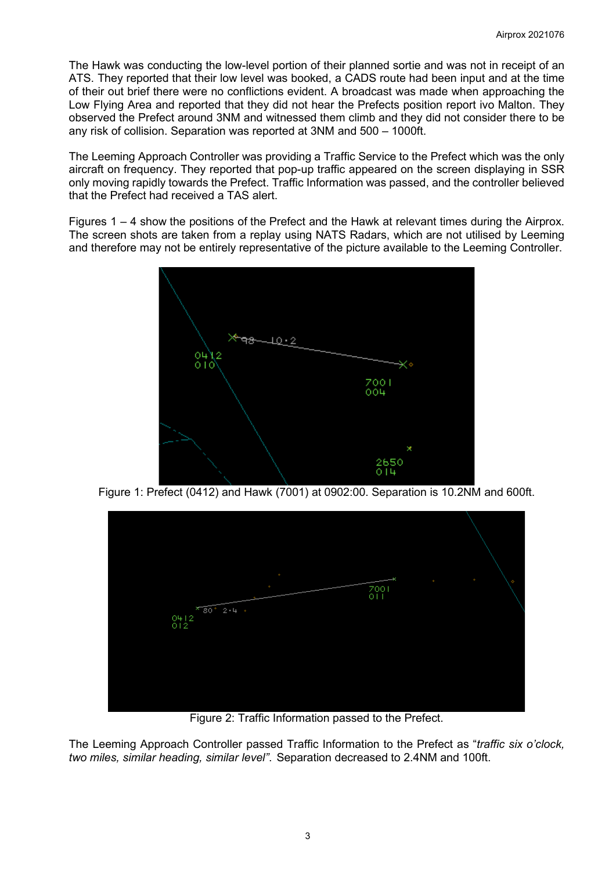The Hawk was conducting the low-level portion of their planned sortie and was not in receipt of an ATS. They reported that their low level was booked, a CADS route had been input and at the time of their out brief there were no conflictions evident. A broadcast was made when approaching the Low Flying Area and reported that they did not hear the Prefects position report ivo Malton. They observed the Prefect around 3NM and witnessed them climb and they did not consider there to be any risk of collision. Separation was reported at 3NM and 500 – 1000ft.

The Leeming Approach Controller was providing a Traffic Service to the Prefect which was the only aircraft on frequency. They reported that pop-up traffic appeared on the screen displaying in SSR only moving rapidly towards the Prefect. Traffic Information was passed, and the controller believed that the Prefect had received a TAS alert.

Figures 1 – 4 show the positions of the Prefect and the Hawk at relevant times during the Airprox. The screen shots are taken from a replay using NATS Radars, which are not utilised by Leeming and therefore may not be entirely representative of the picture available to the Leeming Controller.



Figure 1: Prefect (0412) and Hawk (7001) at 0902:00. Separation is 10.2NM and 600ft.



Figure 2: Traffic Information passed to the Prefect.

The Leeming Approach Controller passed Traffic Information to the Prefect as "*traffic six o'clock, two miles, similar heading, similar level"*. Separation decreased to 2.4NM and 100ft.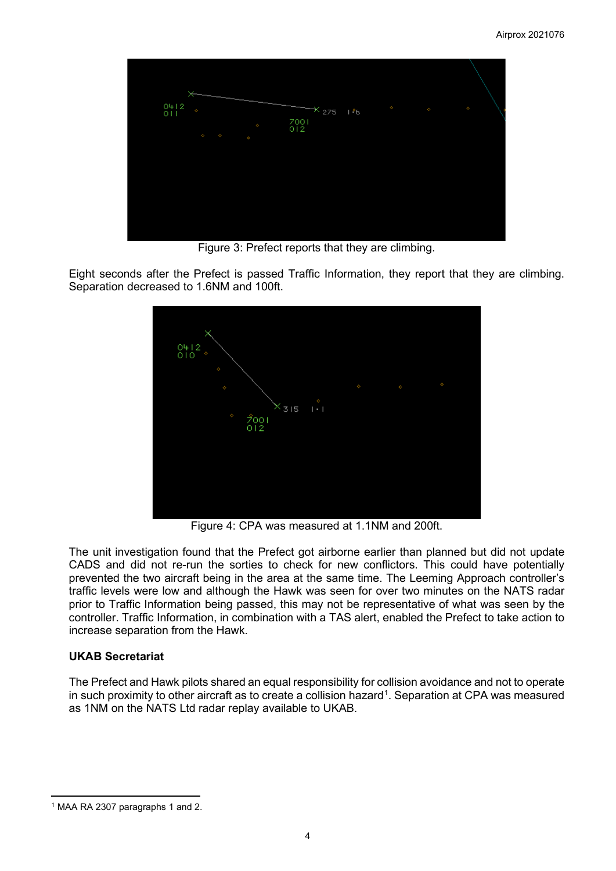

Figure 3: Prefect reports that they are climbing.

Eight seconds after the Prefect is passed Traffic Information, they report that they are climbing. Separation decreased to 1.6NM and 100ft.



Figure 4: CPA was measured at 1.1NM and 200ft.

The unit investigation found that the Prefect got airborne earlier than planned but did not update CADS and did not re-run the sorties to check for new conflictors. This could have potentially prevented the two aircraft being in the area at the same time. The Leeming Approach controller's traffic levels were low and although the Hawk was seen for over two minutes on the NATS radar prior to Traffic Information being passed, this may not be representative of what was seen by the controller. Traffic Information, in combination with a TAS alert, enabled the Prefect to take action to increase separation from the Hawk.

# **UKAB Secretariat**

The Prefect and Hawk pilots shared an equal responsibility for collision avoidance and not to operate in such proximity to other aircraft as to create a collision hazard $^{\rm 1}$  $^{\rm 1}$  $^{\rm 1}$ . Separation at CPA was measured as 1NM on the NATS Ltd radar replay available to UKAB.

<span id="page-3-0"></span><sup>1</sup> MAA RA 2307 paragraphs 1 and 2.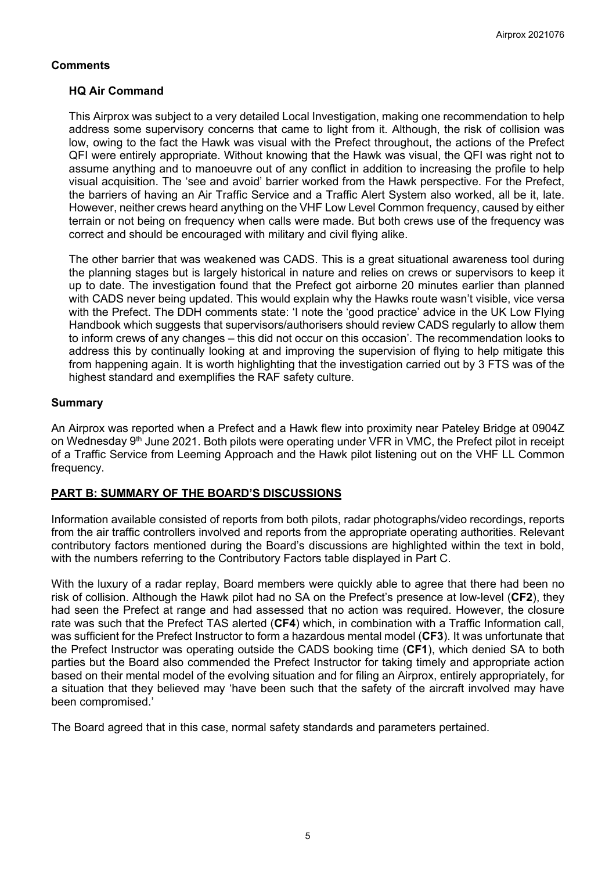# **Comments**

# **HQ Air Command**

This Airprox was subject to a very detailed Local Investigation, making one recommendation to help address some supervisory concerns that came to light from it. Although, the risk of collision was low, owing to the fact the Hawk was visual with the Prefect throughout, the actions of the Prefect QFI were entirely appropriate. Without knowing that the Hawk was visual, the QFI was right not to assume anything and to manoeuvre out of any conflict in addition to increasing the profile to help visual acquisition. The 'see and avoid' barrier worked from the Hawk perspective. For the Prefect, the barriers of having an Air Traffic Service and a Traffic Alert System also worked, all be it, late. However, neither crews heard anything on the VHF Low Level Common frequency, caused by either terrain or not being on frequency when calls were made. But both crews use of the frequency was correct and should be encouraged with military and civil flying alike.

The other barrier that was weakened was CADS. This is a great situational awareness tool during the planning stages but is largely historical in nature and relies on crews or supervisors to keep it up to date. The investigation found that the Prefect got airborne 20 minutes earlier than planned with CADS never being updated. This would explain why the Hawks route wasn't visible, vice versa with the Prefect. The DDH comments state: 'I note the 'good practice' advice in the UK Low Flying Handbook which suggests that supervisors/authorisers should review CADS regularly to allow them to inform crews of any changes – this did not occur on this occasion'. The recommendation looks to address this by continually looking at and improving the supervision of flying to help mitigate this from happening again. It is worth highlighting that the investigation carried out by 3 FTS was of the highest standard and exemplifies the RAF safety culture.

### **Summary**

An Airprox was reported when a Prefect and a Hawk flew into proximity near Pateley Bridge at 0904Z on Wednesday 9<sup>th</sup> June 2021. Both pilots were operating under VFR in VMC, the Prefect pilot in receipt of a Traffic Service from Leeming Approach and the Hawk pilot listening out on the VHF LL Common frequency.

# **PART B: SUMMARY OF THE BOARD'S DISCUSSIONS**

Information available consisted of reports from both pilots, radar photographs/video recordings, reports from the air traffic controllers involved and reports from the appropriate operating authorities. Relevant contributory factors mentioned during the Board's discussions are highlighted within the text in bold, with the numbers referring to the Contributory Factors table displayed in Part C.

With the luxury of a radar replay, Board members were quickly able to agree that there had been no risk of collision. Although the Hawk pilot had no SA on the Prefect's presence at low-level (**CF2**), they had seen the Prefect at range and had assessed that no action was required. However, the closure rate was such that the Prefect TAS alerted (**CF4**) which, in combination with a Traffic Information call, was sufficient for the Prefect Instructor to form a hazardous mental model (**CF3**). It was unfortunate that the Prefect Instructor was operating outside the CADS booking time (**CF1**), which denied SA to both parties but the Board also commended the Prefect Instructor for taking timely and appropriate action based on their mental model of the evolving situation and for filing an Airprox, entirely appropriately, for a situation that they believed may 'have been such that the safety of the aircraft involved may have been compromised.'

The Board agreed that in this case, normal safety standards and parameters pertained.